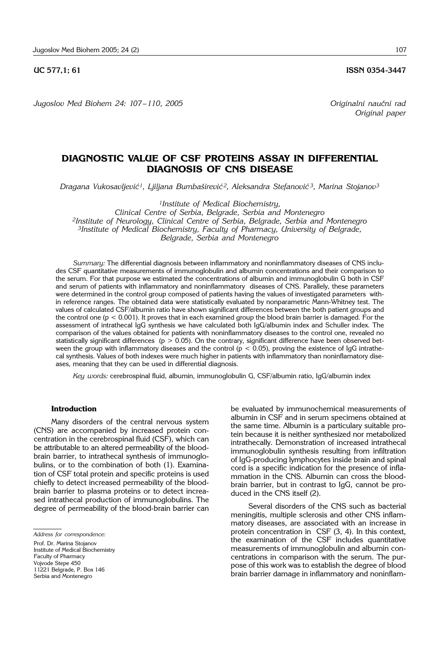*Jugoslov Med Biohem 24: 107 – 110, 2005 Originalni nau~ni rad*

# **DIAGNOSTIC VALUE OF CSF PROTEINS ASSAY IN DIFFERENTIAL**

*Dragana Vukosavljevi}1, Ljiljana Bumba{irevi} 2, Aleksandra Stefanovi} 3, Marina Stojanov3*

**DIAGNOSIS OF CNS DISEASE**

*1Institute of Medical Biochemistry, Clinical Centre of Serbia, Belgrade, Serbia and Montenegro 2Institute of Neurology, Clinical Centre of Serbia, Belgrade, Serbia and Montenegro 3Institute of Medical Biochemistry, Faculty of Pharmacy, University of Belgrade, Belgrade, Serbia and Montenegro* 

*Summary:* The differential diagnosis between inflammatory and noninflammatory diseases of CNS includes CSF quantitative measurements of immunoglobulin and albumin concentrations and their comparison to the serum. For that purpose we estimated the concentrations of albumin and immunoglobulin G both in CSF and serum of patients with inflammatory and noninflammatory diseases of CNS. Parallely, these parameters were determined in the control group composed of patients having the values of investigated parameters within reference ranges. The obtained data were statistically evaluated by nonparametric Mann-Whitney test. The values of calculated CSF/albumin ratio have shown significant differences between the both patient groups and the control one (p < 0.001). It proves that in each examined group the blood brain barrier is damaged. For the assessment of intrathecal IgG synthesis we have calculated both IgG/albumin index and Schuller index. The comparison of the values obtained for patients with noninflammatory diseases to the control one, revealed no statistically significant differences ( $p > 0.05$ ). On the contrary, significant difference have been observed between the group with inflammatory diseases and the control  $(p < 0.05)$ , proving the existence of IgG intrathecal synthesis. Values of both indexes were much higher in patients with inflammatory than noninflamatory diseases, meaning that they can be used in differential diagnosis.

*Key words:* cerebrospinal fluid, albumin, immunoglobulin G, CSF/albumin ratio, IgG/albumin index

#### **Introduction**

Many disorders of the central nervous system (CNS) are accompanied by increased protein concentration in the cerebrospinal fluid (CSF), which can be attributable to an altered permeability of the bloodbrain barrier, to intrathecal synthesis of immunoglobulins, or to the combination of both (1). Examination of CSF total protein and specific proteins is used chiefly to detect increased permeability of the bloodbrain barrier to plasma proteins or to detect increased intrathecal production of immunoglobulins. The degree of permeability of the blood-brain barrier can

Prof. Dr. Marina Stojanov Institute of Medical Biochemistry Faculty of Pharmacy Vojvode Stepe 450 11221 Belgrade, P. Box 146 Serbia and Montenegro

be evaluated by immunochemical measurements of albumin in CSF and in serum specimens obtained at the same time. Albumin is a particulary suitable protein because it is neither synthesized nor metabolized intrathecally. Demonstration of increased intrathecal immunoglobulin synthesis resulting from infiltration of IgG-producing lymphocytes inside brain and spinal cord is a specific indication for the presence of inflammation in the CNS. Albumin can cross the bloodbrain barrier, but in contrast to IgG, cannot be produced in the CNS itself (2).

Several disorders of the CNS such as bacterial meningitis, multiple sclerosis and other CNS inflammatory diseases, are associated with an increase in protein concentration in CSF (3, 4). In this context, the examination of the CSF includes quantitative measurements of immunoglobulin and albumin concentrations in comparison with the serum. The purpose of this work was to establish the degree of blood brain barrier damage in inflammatory and noninflam-

**UC 577.1: 61 ISSN 0354-3447** 

*Original paper*

*Address for correspondence:*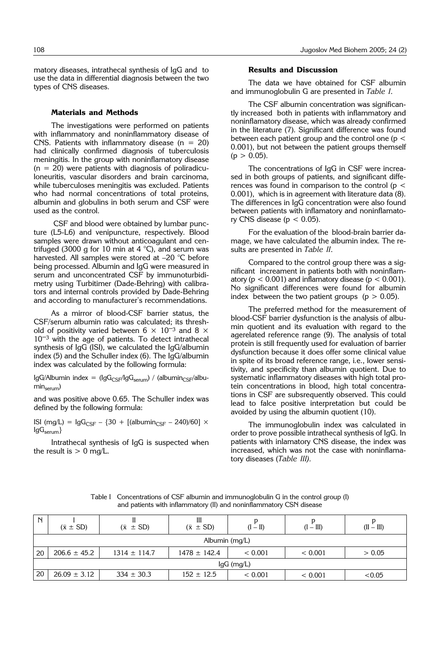matory diseases, intrathecal synthesis of IgG and to use the data in differential diagnosis between the two types of CNS diseases.

#### **Materials and Methods**

The investigations were performed on patients with inflammatory and noninflammatory disease of CNS. Patients with inflammatory disease  $(n = 20)$ had clinically confirmed diagnosis of tuberculosis meningitis. In the group with noninflamatory disease  $(n = 20)$  were patients with diagnosis of poliradiculoneuritis, vascular disorders and brain carcinoma, while tuberculoses meningitis was excluded. Patients who had normal concentrations of total proteins, albumin and globulins in both serum and CSF were used as the control.

CSF and blood were obtained by lumbar puncture (L5-L6) and venipuncture, respectively. Blood samples were drawn without anticoagulant and centrifuged (3000 g for 10 min at 4  $^{\circ}$ C), and serum was harvested. All samples were stored at –20 °C before being processed. Albumin and IgG were measured in serum and unconcentrated CSF by immunoturbidimetry using Turbitimer (Dade-Behring) with calibrators and internal controls provided by Dade-Behring and according to manufacturer's recommendations.

As a mirror of blood-CSF barrier status, the CSF/serum albumin ratio was calculated; its threshold of positivity varied between 6  $\times$  10<sup>-3</sup> and 8  $\times$  $10^{-3}$  with the age of patients. To detect intrathecal synthesis of IgG (ISI), we calculated the IgG/albumin index (5) and the Schuller index (6). The IgG/albumin index was calculated by the following formula:

IgG/Albumin index =  $(IgG_{CSF}/IgG_{\text{serum}})$  / (albumin<sub>CSF</sub>/albumin<sub>serum</sub>)

and was positive above 0.65. The Schuller index was defined by the following formula:

ISI (mg/L) =  $lgG_{CSF} - {30 + [(albumin_{CSF} - 240)/60] \times}$  $IgG_{\text{serum}}\}$ 

Intrathecal synthesis of IgG is suspected when the result is  $> 0$  mg/L.

### **Results and Discussion**

The data we have obtained for CSF albumin and immunoglobulin G are presented in *Table I*.

The CSF albumin concentration was significantly increased both in patients with inflammatory and noninflamatory disease, which was already confirmed in the literature (7). Significant difference was found between each patient group and the control one ( $p <$ 0.001), but not between the patient groups themself  $(p > 0.05)$ .

The concentrations of IgG in CSF were increased in both groups of patients, and significant differences was found in comparison to the control ( $p <$ 0.001), which is in agreement with literature data (8). The differences in IgG concentration were also found between patients with inflamatory and noninflamatory CNS disease ( $p < 0.05$ ).

For the evaluation of the blood-brain barrier damage, we have calculated the albumin index. The results are presented in *Table II*.

Compared to the control group there was a significant increament in patients both with noninflamatory ( $p < 0.001$ ) and inflamatory disease ( $p < 0.001$ ). No significant differences were found for albumin index between the two patient groups ( $p > 0.05$ ).

The preferred method for the measurement of blood-CSF barrier dysfunction is the analysis of albumin quotient and its evaluation with regard to the agerelated reference range (9). The analysis of total protein is still frequently used for evaluation of barrier dysfunction because it does offer some clinical value in spite of its broad reference range, i.e., lower sensitivity, and specificity than albumin quotient. Due to systematic inflammatory diseases with high total protein concentrations in blood, high total concentrations in CSF are subsrequently observed. This could lead to falce positive interpretation but could be avoided by using the albumin quotient (10).

The immunoglobulin index was calculated in order to prove possible intrathecal synthesis of IgG. In patients with inlamatory CNS disease, the index was increased, which was not the case with noninflamatory diseases (*Table III).*

| N                | $(\bar{x} \pm SD)$ | $(\bar{x} \pm SD)$ | $(\bar{x} \pm SD)$ | $(I - II)$ | $(I - III)$ | $(II - III)$ |  |  |  |
|------------------|--------------------|--------------------|--------------------|------------|-------------|--------------|--|--|--|
| Albumin $(mq/L)$ |                    |                    |                    |            |             |              |  |  |  |
| 20               | $206.6 \pm 45.2$   | $1314 \pm 114.7$   | $1478 \pm 142.4$   | < 0.001    | < 0.001     | > 0.05       |  |  |  |
| $lgG$ (mg/L)     |                    |                    |                    |            |             |              |  |  |  |
| 20               | $26.09 \pm 3.12$   | $334 \pm 30.3$     | $152 \pm 12.5$     | < 0.001    | < 0.001     | < 0.05       |  |  |  |

Table I Concentrations of CSF albumin and immunoglobulin G in the control group (I) and patients with inflammatory (II) and noninflammatory CSN disease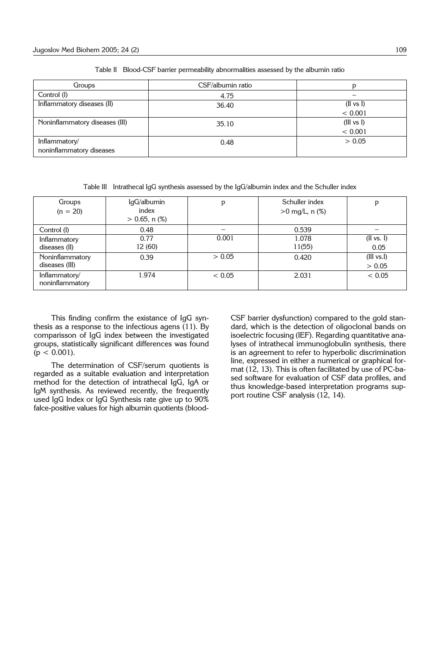| Groups                         | CSF/albumin ratio |            |  |
|--------------------------------|-------------------|------------|--|
| Control (I)                    | 4.75              |            |  |
| Inflammatory diseases (II)     | 36.40             | (II vs I)  |  |
|                                |                   | < 0.001    |  |
| Noninflammatory diseases (III) | 35.10             | (III vs I) |  |
|                                |                   | < 0.001    |  |
| Inflammatory/                  | 0.48              | > 0.05     |  |
| noninflammatory diseases       |                   |            |  |

Table II Blood-CSF barrier permeability abnormalities assessed by the albumin ratio

Table III Intrathecal IgG synthesis assessed by the IgG/albumin index and the Schuller index

| Groups<br>$(n = 20)$              | IgG/albumin<br>index<br>$> 0.65$ , n $(\%)$ | p      | Schuller index<br>$>0$ mg/L, n $(\%)$ | p                     |
|-----------------------------------|---------------------------------------------|--------|---------------------------------------|-----------------------|
| Control (I)                       | 0.48                                        |        | 0.539                                 |                       |
| Inflammatory<br>diseases (II)     | 0.77<br>12 (60)                             | 0.001  | 1.078<br>11(55)                       | (II vs. I)<br>0.05    |
| Noninflammatory<br>diseases (III) | 0.39                                        | > 0.05 | 0.420                                 | (III vs. I)<br>> 0.05 |
| Inflammatory/<br>noninflammatory  | 1.974                                       | < 0.05 | 2.031                                 | < 0.05                |

This finding confirm the existance of IgG synthesis as a response to the infectious agens (11). By comparisson of IgG index between the investigated groups, statistically significant differences was found  $(p < 0.001)$ .

The determination of CSF/serum quotients is regarded as a suitable evaluation and interpretation method for the detection of intrathecal IgG, IgA or IgM synthesis. As reviewed recently, the frequently used IgG Index or IgG Synthesis rate give up to 90% falce-positive values for high albumin quotients (bloodCSF barrier dysfunction) compared to the gold standard, which is the detection of oligoclonal bands on isoelectric focusing (IEF). Regarding quantitative analyses of intrathecal immunoglobulin synthesis, there is an agreement to refer to hyperbolic discrimination line, expressed in either a numerical or graphical format (12, 13). This is often facilitated by use of PC-based software for evaluation of CSF data profiles, and thus knowledge-based interpretation programs support routine CSF analysis (12, 14).